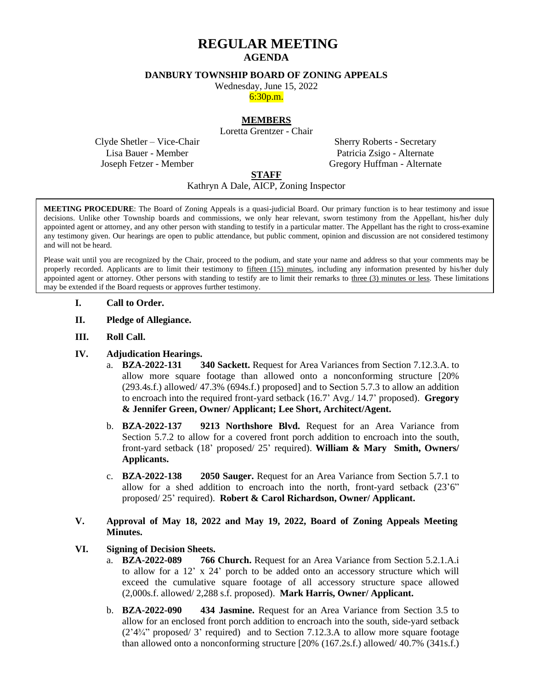# **REGULAR MEETING AGENDA**

#### **DANBURY TOWNSHIP BOARD OF ZONING APPEALS**

Wednesday, June 15, 2022

6:30p.m.

### **MEMBERS**

Loretta Grentzer - Chair

Clyde Shetler – Vice-Chair Lisa Bauer - Member Joseph Fetzer - Member

Sherry Roberts - Secretary Patricia Zsigo - Alternate Gregory Huffman - Alternate

# **STAFF**

# Kathryn A Dale, AICP, Zoning Inspector

**MEETING PROCEDURE**: The Board of Zoning Appeals is a quasi-judicial Board. Our primary function is to hear testimony and issue decisions. Unlike other Township boards and commissions, we only hear relevant, sworn testimony from the Appellant, his/her duly appointed agent or attorney, and any other person with standing to testify in a particular matter. The Appellant has the right to cross-examine any testimony given. Our hearings are open to public attendance, but public comment, opinion and discussion are not considered testimony and will not be heard.

Please wait until you are recognized by the Chair, proceed to the podium, and state your name and address so that your comments may be properly recorded. Applicants are to limit their testimony to fifteen (15) minutes, including any information presented by his/her duly appointed agent or attorney. Other persons with standing to testify are to limit their remarks to three (3) minutes or less. These limitations may be extended if the Board requests or approves further testimony.

- **I. Call to Order.**
- **II. Pledge of Allegiance.**
- **III. Roll Call.**

#### **IV. Adjudication Hearings.**

- a. **BZA-2022-131 340 Sackett.** Request for Area Variances from Section 7.12.3.A. to allow more square footage than allowed onto a nonconforming structure [20% (293.4s.f.) allowed/ 47.3% (694s.f.) proposed] and to Section 5.7.3 to allow an addition to encroach into the required front-yard setback (16.7' Avg./ 14.7' proposed). **Gregory & Jennifer Green, Owner/ Applicant; Lee Short, Architect/Agent.**
- b. **BZA-2022-137 9213 Northshore Blvd.** Request for an Area Variance from Section 5.7.2 to allow for a covered front porch addition to encroach into the south, front-yard setback (18' proposed/ 25' required). **William & Mary Smith, Owners/ Applicants.**
- c. **BZA-2022-138 2050 Sauger.** Request for an Area Variance from Section 5.7.1 to allow for a shed addition to encroach into the north, front-yard setback (23'6" proposed/ 25' required). **Robert & Carol Richardson, Owner/ Applicant.**

# **V. Approval of May 18, 2022 and May 19, 2022, Board of Zoning Appeals Meeting Minutes.**

#### **VI. Signing of Decision Sheets.**

- a. **BZA-2022-089 766 Church.** Request for an Area Variance from Section 5.2.1.A.i to allow for a 12' x 24' porch to be added onto an accessory structure which will exceed the cumulative square footage of all accessory structure space allowed (2,000s.f. allowed/ 2,288 s.f. proposed). **Mark Harris, Owner/ Applicant.**
- b. **BZA-2022-090 434 Jasmine.** Request for an Area Variance from Section 3.5 to allow for an enclosed front porch addition to encroach into the south, side-yard setback  $(2'44'')$  proposed/ 3' required) and to Section 7.12.3.A to allow more square footage than allowed onto a nonconforming structure [20% (167.2s.f.) allowed/ 40.7% (341s.f.)